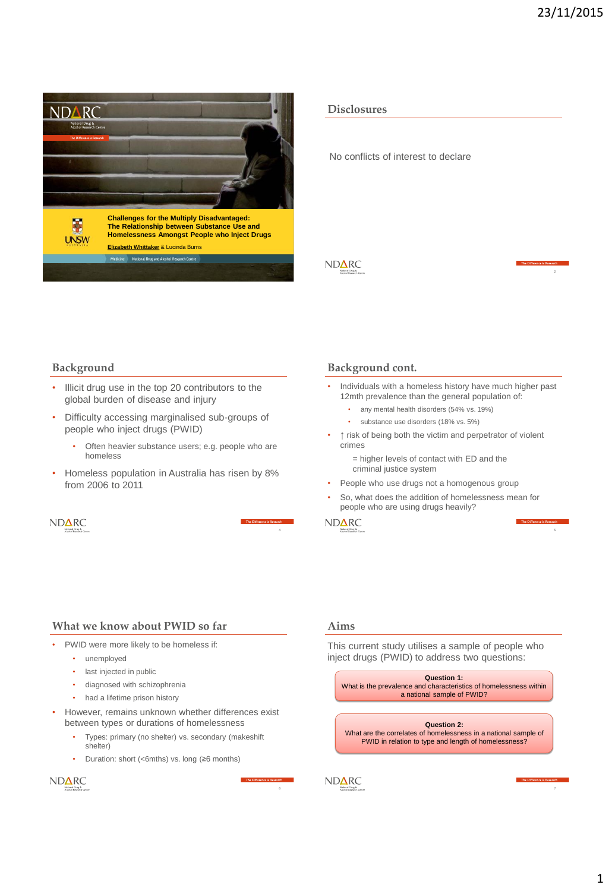

**Disclosures**

No conflicts of interest to declare

**NDARC** 



#### **Background**

- Illicit drug use in the top 20 contributors to the global burden of disease and injury
- Difficulty accessing marginalised sub-groups of people who inject drugs (PWID)
	- Often heavier substance users; e.g. people who are homeless
- Homeless population in Australia has risen by 8% from 2006 to 2011



#### **Background cont.**

- Individuals with a homeless history have much higher past 12mth prevalence than the general population of:
	- any mental health disorders (54% vs. 19%)
	- substance use disorders (18% vs. 5%)
- ↑ risk of being both the victim and perpetrator of violent crimes

= higher levels of contact with ED and the criminal justice system

- People who use drugs not a homogenous group
- So, what does the addition of homelessness mean for people who are using drugs heavily?

ND**∆RC** 

## **What we know about PWID so far**

- PWID were more likely to be homeless if:
	- unemployed
	- last injected in public
	- diagnosed with schizophrenia
	- had a lifetime prison history
- However, remains unknown whether differences exist between types or durations of homelessness
	- Types: primary (no shelter) vs. secondary (makeshift shelter)
	- Duration: short (<6mths) vs. long (≥6 months)

ND**∆RC** 



#### **Aims**

This current study utilises a sample of people who inject drugs (PWID) to address two questions:

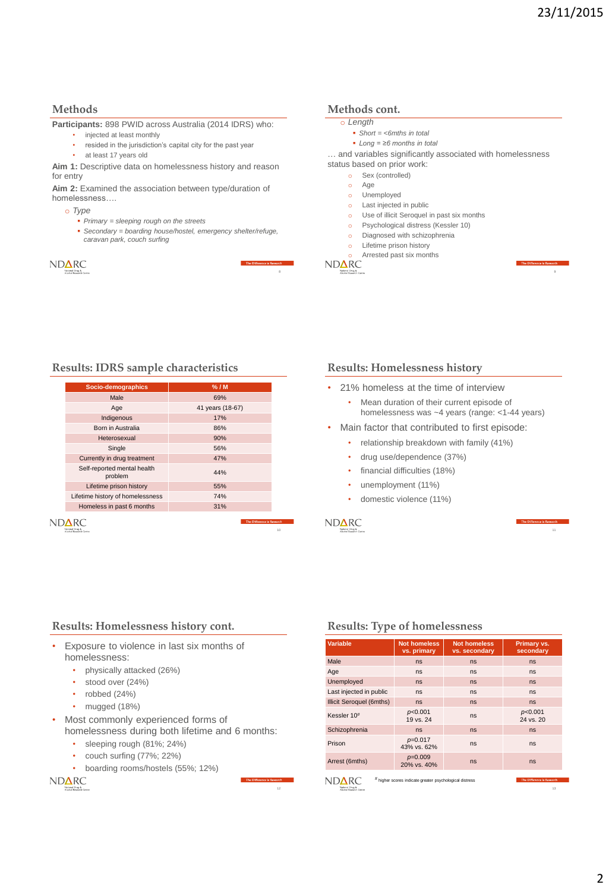## **Methods**

**Participants:** 898 PWID across Australia (2014 IDRS) who:

- injected at least monthly
- resided in the jurisdiction's capital city for the past year
- at least 17 years old

**Aim 1:** Descriptive data on homelessness history and reason for entry

**Aim 2:** Examined the association between type/duration of homelessness….

o *Type*

- *Primary = sleeping rough on the streets*
- *Secondary = boarding house/hostel, emergency shelter/refuge, caravan park, couch surfing*

| <b>NDARC</b>                               | The Diffe |
|--------------------------------------------|-----------|
| National Drug &<br>Alcohol Research Centre |           |
|                                            |           |

# **Methods cont.**

- o *Length*
	- *Short = <6mths in total*
	- *Long = ≥6 months in total*

… and variables significantly associated with homelessness

- status based on prior work:
	- o Sex (controlled)
	- o Age
	- o Unemployed o Last injected in public
	-
	- o Use of illicit Seroquel in past six months o Psychological distress (Kessler 10)
	- o Diagnosed with schizophrenia
	- o Lifetime prison history
- o Arrested past six months  $\widehat{\text{NDARC}}$

8

12



# **Results: IDRS sample characteristics**

| Socio-demographics                         | % / M                      |  |
|--------------------------------------------|----------------------------|--|
| Male                                       | 69%                        |  |
| Age                                        | 41 years (18-67)           |  |
| Indigenous                                 | 17%                        |  |
| Born in Australia                          | 86%                        |  |
| Heterosexual                               | 90%                        |  |
| Single                                     | 56%                        |  |
| Currently in drug treatment                | 47%                        |  |
| Self-reported mental health<br>problem     | 44%                        |  |
| Lifetime prison history                    | 55%                        |  |
| Lifetime history of homelessness           | 74%                        |  |
| Homeless in past 6 months                  | 31%                        |  |
|                                            | The Difference is Research |  |
| National Drug &<br>Alcohol Research Centre |                            |  |

## **Results: Homelessness history**

- 21% homeless at the time of interview
	- Mean duration of their current episode of homelessness was ~4 years (range: <1-44 years)
- Main factor that contributed to first episode:
	- relationship breakdown with family (41%)
	- drug use/dependence (37%)
	- financial difficulties (18%)
	- unemployment (11%)
	- domestic violence (11%)





## **Results: Homelessness history cont.**

- Exposure to violence in last six months of homelessness:
	- physically attacked (26%)
	- stood over (24%)
	- robbed (24%)
	- mugged (18%)
- Most commonly experienced forms of homelessness during both lifetime and 6 months:
	- sleeping rough (81%; 24%)
	- couch surfing (77%; 22%)
	- boarding rooms/hostels (55%; 12%)

**NDARC** 



| <b>Variable</b>                               | <b>Not homeless</b><br>vs. primary                      | <b>Not homeless</b><br>vs. secondary | Primary vs.<br>secondary         |
|-----------------------------------------------|---------------------------------------------------------|--------------------------------------|----------------------------------|
| Male                                          | ns                                                      | ns                                   | <b>ns</b>                        |
| Age                                           | ns                                                      | ns                                   | ns                               |
| Unemployed                                    | ns                                                      | ns                                   | <b>ns</b>                        |
| Last injected in public                       | ns                                                      | ns                                   | ns                               |
| Illicit Seroquel (6mths)                      | ns                                                      | ns                                   | <b>ns</b>                        |
| Kessler 10#                                   | p<0.001<br>19 vs. 24                                    | ns                                   | p<0.001<br>24 vs. 20             |
| Schizophrenia                                 | ns                                                      | ns                                   | <b>ns</b>                        |
| Prison                                        | $p=0.017$<br>43% vs. 62%                                | ns                                   | ns                               |
| Arrest (6mths)                                | $p=0.009$<br>20% vs. 40%                                | ns                                   | <b>ns</b>                        |
| National Drug &<br>Allendorf Humanity Contact | # higher scores indicate greater psychological distress |                                      | The Difference is Research<br>13 |